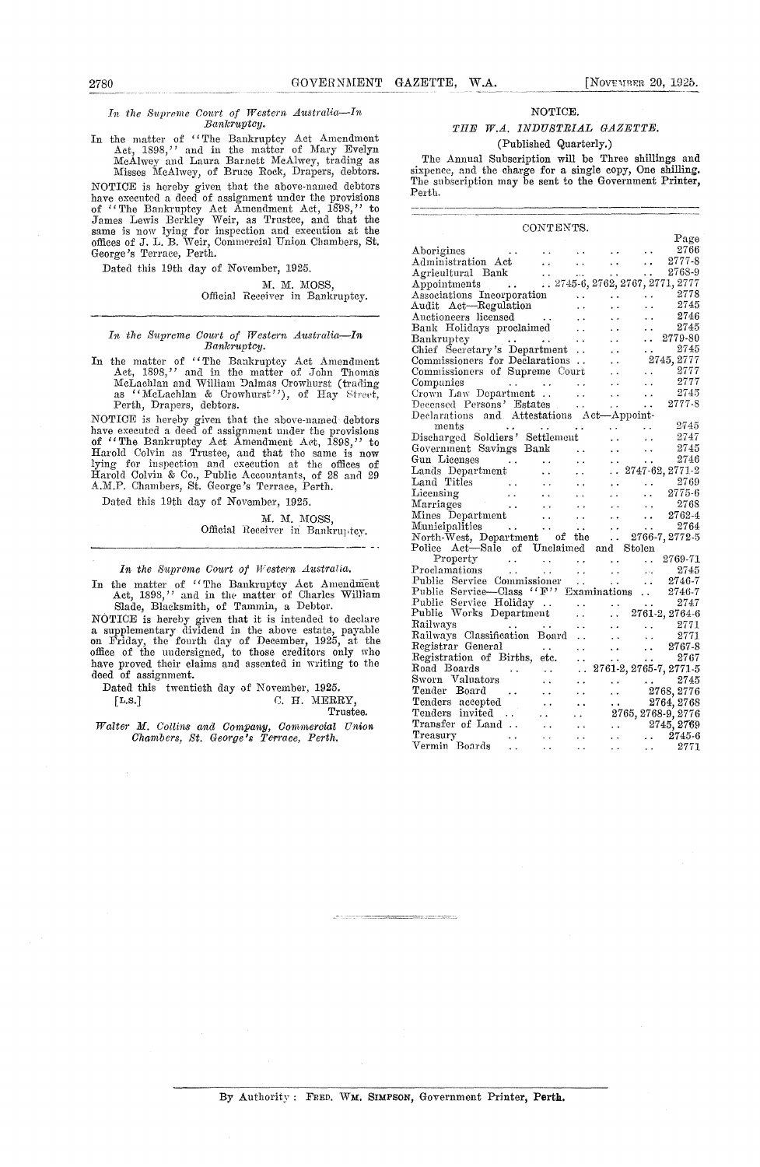# 2780 GOVERNMENT GAZETTE, W.A. [NovF-rRru 20, 1025. *in the Supreme Court of Western Australia—In* NOTICE.

In the matter of "The Bankruptcy Act Amendment Act, 1898," and in the matter of Mary Evelyn McAlwey and Laura Barnett McAlwey, trading as

Misses McAlwey, of Bruce Rock, Drapers, debtors. NOTICE is hereby given that the above-named debtors have executed a deed of assignment under the provisions of "The Bankruptcy Act Amendment Act, 1898," to James Lewis Berkley Weir, as Trustee, and that the same is now lying for inspection and execution at the offices of J. L. B. Weir, Commercial Union Chambers, St. George's Terrace, Perth.

Dated this 19th day of November, 1925.

## M. M. MOSS, Official Receiver in Bankruptcy.

## *In the Supreme Court of Western Australia—In Bankruptcy.*

In the matter of ''The Bankruptcy Act Amendment Act, 1898," and in th*e* matter of John Thomas McLachlan and William Dalmas Crowhurst (trading as "McLachlan & Crowhurst), of Hay 'Street, Perth, Drapers, debtors.

NOTICE is hereby given that the above-named debtors have executed a deed of assignment under the provisions of "The Bankruptcy Act Amendment Act, 1898," to Harold Colvin as Trustee, and that the same is now lying for inspection and execution at the offices of Harold Colvin & Co., Public Accountants, of 28 and 29 A.M.P. Chambers, St. George's Terrace, Perth.

Dated this 19th day of November, 1925,

M. M. MOSS, Official Receiver in Bankruptcy.

### *In the Supreme Court of Western Australia.*

In the matter of "The Bankruptcy Act Amendment Act, 1898," and in the matter of Charles William Slade, Blacksmith, of Tammin, a Debtor.

NOTICE is hereby given that it is intended to declare a supplementary dividend in the above estate, payable on Friday, the fourth day of December, 1925, at the office of the undersigned, to those creditors only who have proved their claims and assented in writing to the deed of assignment.

Dated this twentieth day of November, 1925.<br>[L.S.] C. H. MERI C. H. MERRY,

Trustee.

 $Walter$  **M**. Collins and Company, Commercial Union *Chambers, St. George's Terrace, Perth.*

# *Bankruptcy. THE W.A. INDUSTRIAL GAZETTE.* (Published Quarterly.)

The Annual Subscription will be Three shillings and sixpence, and the charge for a single copy, One shilling. The subscription may be sent to the Government Printer, Perth.

| CONTENTS.                                                                           |                                                                         |                          |                                                                                                     |
|-------------------------------------------------------------------------------------|-------------------------------------------------------------------------|--------------------------|-----------------------------------------------------------------------------------------------------|
|                                                                                     |                                                                         |                          | Page                                                                                                |
| $\begin{array}{ccc}\n\cdots & \cdots \\ \vdots & \vdots\n\end{array}$<br>Aborigines |                                                                         |                          | 2766<br>$\ddot{\phantom{1}}$                                                                        |
| Administration Act                                                                  | $\ddotsc$                                                               | $\sim 10^{-10}$          | 2777-8<br>$\sim$                                                                                    |
|                                                                                     |                                                                         |                          |                                                                                                     |
|                                                                                     |                                                                         |                          |                                                                                                     |
|                                                                                     |                                                                         |                          |                                                                                                     |
| Audit Act-Regulation                                                                |                                                                         |                          | 2745                                                                                                |
| Auctioneers licensed<br>$\begin{array}{c}\n\cdots \\ \vdots \\ \vdots\n\end{array}$ |                                                                         |                          | 2746<br>$\ddot{\phantom{0}}$                                                                        |
| Bank Holidays proclaimed                                                            | $\ddot{\phantom{0}}$                                                    |                          | 2745<br>$\ddotsc$                                                                                   |
| Bankruptey                                                                          |                                                                         |                          | $\ldots$ 2779-80                                                                                    |
| Bankruptcy<br>Chief Secretary's Department                                          |                                                                         | $\cdots$                 | 2745<br>. .                                                                                         |
| Commissioners for Declarations                                                      |                                                                         |                          | 2745, 2777                                                                                          |
| Commissioners of Supreme Court                                                      |                                                                         |                          | 2777<br>$\sim$                                                                                      |
| Companies                                                                           | $\sim 10^{-11}$                                                         |                          | 2777<br>$\ddot{\phantom{0}}$                                                                        |
| Companies<br>Crown Law Department                                                   | $\mathbf{r}$                                                            | $\sim 10^{-1}$           | 2745<br>$\sim$ $\sim$                                                                               |
|                                                                                     |                                                                         |                          | 2777-8<br>$\sim 10^{-10}$                                                                           |
| Deceased Persons' Estates<br>Declarations and Attestations Act-Appoint-             |                                                                         |                          |                                                                                                     |
| ments<br>$\sim$ $\sim$<br>$\ddot{\phantom{0}}$                                      | $\ddot{\phantom{a}}$                                                    | $\ddotsc$                | 2745                                                                                                |
| Discharged Soldiers' Settlement                                                     |                                                                         |                          | 2747<br>$\ddot{\phantom{0}}$                                                                        |
| Government Savings Bank                                                             | $\ddotsc$                                                               |                          | 2745                                                                                                |
| Gun Licenses                                                                        | $\ddot{\phantom{0}}$                                                    | الفعار الفع              | 2746                                                                                                |
| $\frac{1}{2}$ , $\frac{1}{2}$ , $\frac{1}{2}$<br>Lands Department                   | $\ddot{\phantom{a}}$                                                    | $\ddotsc$                | 2747-62, 2771-2                                                                                     |
| Land Titles<br>Licensing<br>Marriages<br>$\ddot{\phantom{a}}$                       | $\ddot{\phantom{a}}$                                                    |                          | 2769                                                                                                |
| $\ddotsc$                                                                           | é,                                                                      | .                        | $\mathbf{L}$<br>2775-6                                                                              |
|                                                                                     | $\ddot{\phantom{0}}$                                                    |                          | 2768<br>$\ddot{\phantom{0}}$                                                                        |
| Mines Department<br>$\ddotsc$                                                       |                                                                         | $\ddot{\phantom{0}}$     | 2762-4<br>$\ddot{\phantom{a}}$                                                                      |
| Municipalities<br>$\sim$ $\sim$<br>$\sim 100$ km s $^{-1}$                          | $\ddot{\phantom{a}}$ .                                                  |                          |                                                                                                     |
| North-West, Department of the                                                       |                                                                         |                          | $\begin{array}{cc}\n 1. & 2764 \\  -2766-7, 2772-5\n \end{array}$                                   |
| Police Act-Sale of Unclaimed and Stolen                                             |                                                                         |                          |                                                                                                     |
| Property                                                                            |                                                                         | $\sim$ $\sim$            | 2769-71<br>$\sim 10^{-1}$                                                                           |
|                                                                                     | $\frac{1}{2}$ , $\frac{1}{2}$ , $\frac{1}{2}$<br>$\ddot{\phantom{1}}$ . | $\ddotsc$                |                                                                                                     |
| Property<br>Proclamations<br>Public Service Commissioner                            | П,                                                                      | $\sim 10^{-10}$          | $\begin{array}{cc}\n 2745 \\  -2746-7\n\end{array}$<br>$\sim 100$                                   |
| Public Service-Class "F" Examinations                                               |                                                                         |                          | 2746-7                                                                                              |
| Public Service Holiday                                                              |                                                                         |                          |                                                                                                     |
| Public Works Department                                                             | . .                                                                     |                          |                                                                                                     |
| Railways                                                                            | i.                                                                      | . .                      | $\begin{array}{ccc}\n\cdot & 2771 \\ \cdot & 2771\n\end{array}$                                     |
| Railways Classification Board                                                       | $\ddot{\phantom{a}}$                                                    | $\ddotsc$                |                                                                                                     |
| Registrar General<br>$\mathcal{L}^{\text{max}}$ , where $\mathcal{L}^{\text{max}}$  | $\ddot{\phantom{a}}$                                                    | $\mathbf{G}(\mathbf{r})$ | 2767-8<br>$\ddot{\phantom{a}}$                                                                      |
| Registration of Births, etc.                                                        | $\ddot{\phantom{0}}$                                                    | $\sim 100$               | 2767<br>$\ddotsc$                                                                                   |
| Road Boards<br>$\mathbf{r}(\mathbf{x}) = \mathbf{r}(\mathbf{x}, \mathbf{x})$        | . .                                                                     |                          | 2761-2, 2765-7, 2771-5                                                                              |
| Sworn Valuators                                                                     | . .                                                                     |                          | - 2745                                                                                              |
| Tender Board<br>$\sim 100$ km $^{-1}$                                               | . .                                                                     |                          |                                                                                                     |
| Tenders accepted                                                                    | $\ddot{\phantom{a}}$                                                    |                          | $\begin{array}{ccc} \ldots & \ldots & 2745 \ \ldots & 2768, 2776 \ \ldots & 2764, 2768 \end{array}$ |
| Tenders invited                                                                     |                                                                         |                          | 2765, 2768-9, 2776                                                                                  |
| Transfer of Land                                                                    |                                                                         |                          | 2745, 2769                                                                                          |
| Treasury<br>$\sim$                                                                  |                                                                         | $\ddotsc$                | $\ldots$ 2745-6                                                                                     |
| Vermin Boards                                                                       |                                                                         | $\ddot{\phantom{1}}$     | 2771<br>$\cdots$                                                                                    |

By Authority : FRED. WM. SIMPSON, Government Printer, Perth.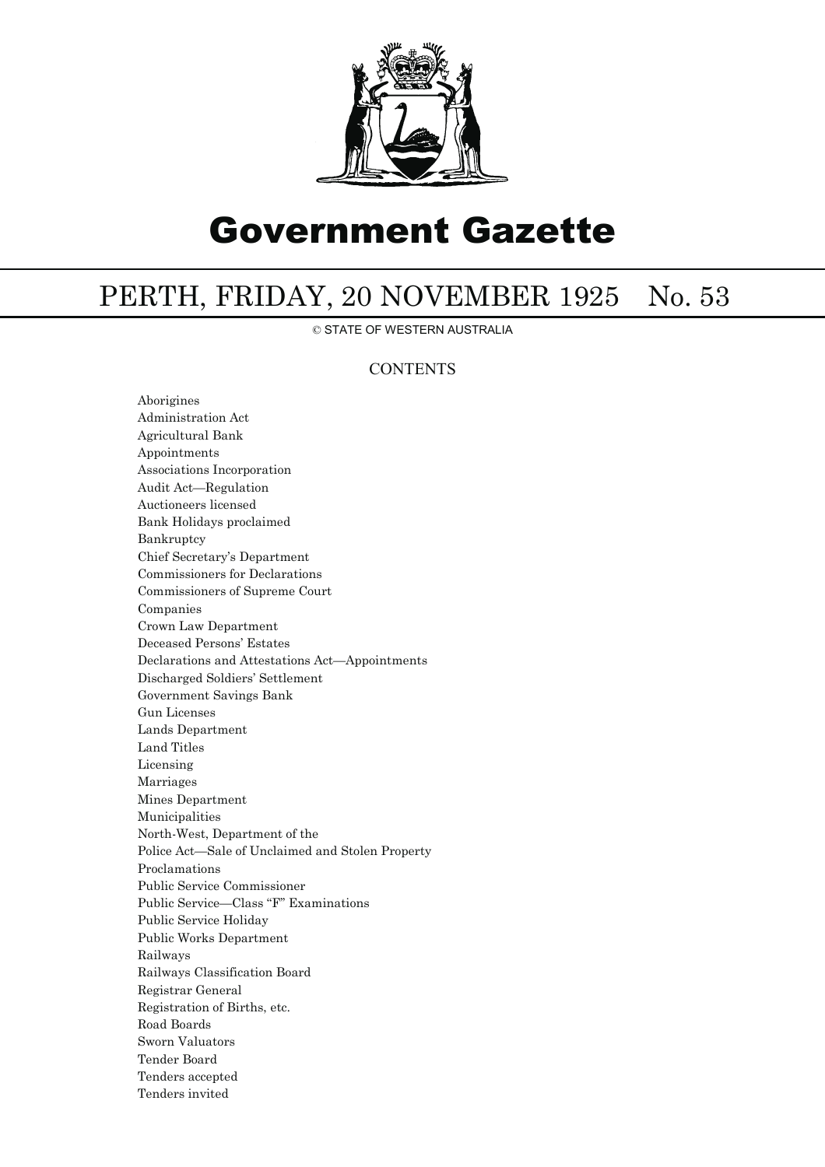

# Government Gazette

# PERTH, FRIDAY, 20 NOVEMBER 1925 No. 53

© STATE OF WESTERN AUSTRALIA

# **CONTENTS**

Aborigines Administration Act Agricultural Bank Appointments Associations Incorporation Audit Act—Regulation Auctioneers licensed Bank Holidays proclaimed Bankruptcy Chief Secretary's Department Commissioners for Declarations Commissioners of Supreme Court Companies Crown Law Department Deceased Persons' Estates Declarations and Attestations Act—Appointments Discharged Soldiers' Settlement Government Savings Bank Gun Licenses Lands Department Land Titles Licensing Marriages Mines Department Municipalities North-West, Department of the Police Act—Sale of Unclaimed and Stolen Property Proclamations Public Service Commissioner Public Service—Class "F" Examinations Public Service Holiday Public Works Department Railways Railways Classification Board Registrar General Registration of Births, etc. Road Boards Sworn Valuators Tender Board Tenders accepted Tenders invited